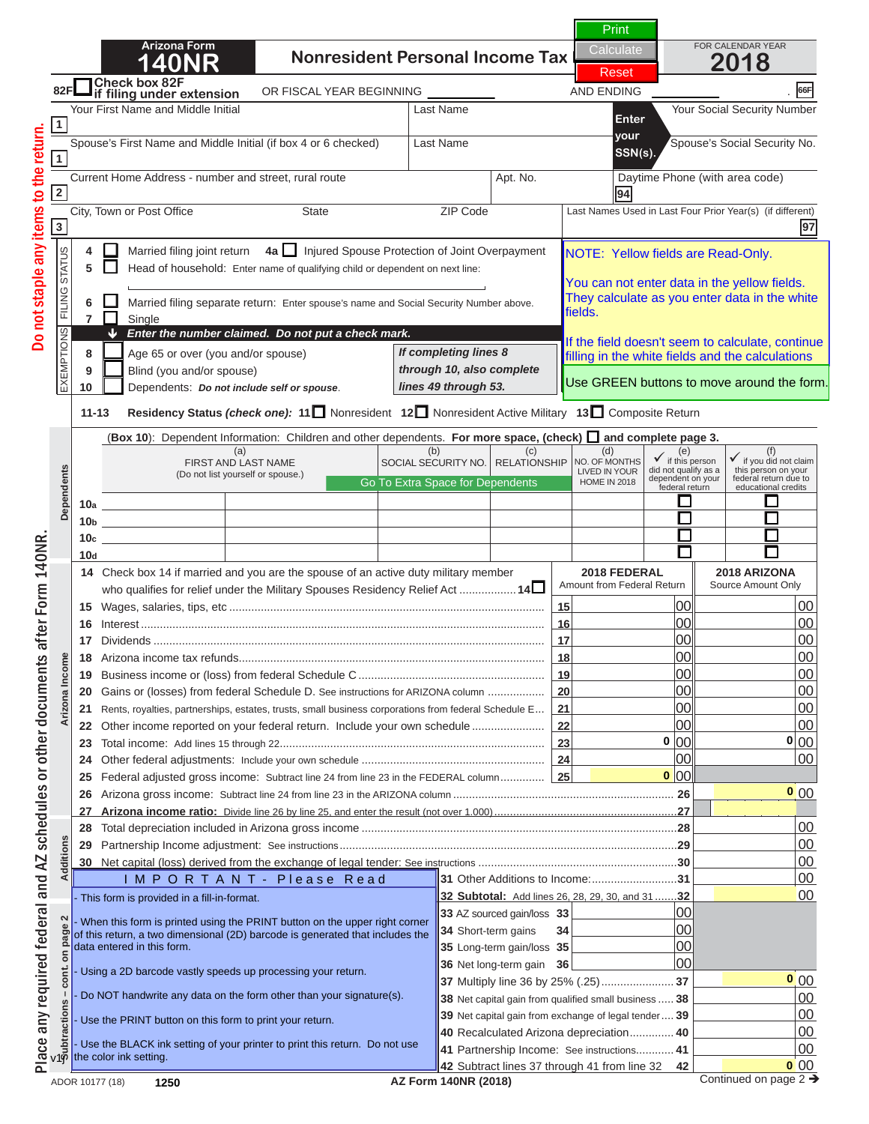# **N O T I C E**

**If you are viewing this message,**  $\blacksquare$ Spouse's First Name and Middle Initial (if box 4 or 6 checked) Last Name Spouse's Social Security No. **your SSN(s). this is NOT a complete return. if filing under extension**

**1** March 19 March 19 March 19 March 19 March 19 March 19 March 19 March 19 March 19 March 19 March 19 March 19 March 19 March 19 March 19 March 19 March 19 March 19 March 19 March 19 March 19 March 19 March 19 March 19 Ma **3 97 To print a completed return:** 

**Raquired Fields are indicated by a "Red R 9** Blog Blog Street in **10** Dependents: *Do not include self or spouse*. **11-13 Residency Status** *(check one):* **<sup>11</sup>** Nonresident **12** Nonresident Active Military **13** Composite Return **Required Fields are 6**  $\blacksquare$  **Equipment in the sponsetion:** Enter design in the white as you enter the white as you enter a sponse of the whole *If completing lines 8 through 10, also complete*  around the data field). All required fields must be filled in.  $I = I \cup I$  the field doesn't see to continue the continue of  $I \cup I$ ny a "Red BOX" **(Required Fields are indicated by a "Red Box"** 

the Green PRINT Button loca  $\text{ted a}$ **Click on the Green PRINT Button located at the top 10a 10b**  $\alpha$  of page 1. **10c 10c 10c 10c 11 Dependents**

TE. Cliebing the DDINIT hutton will norferm t **NOTE: Clicking the PRINT button will perform the 16** Interest ................................................................................................................................ **16** 00 00 **17** Dividends and **calculations and** *calculations* and *notations* **18 Arizona income the contract of the contract of the contract of the contract of the contract of the contract of the contract of the contract of the contract of the contract of the contract of the contract of the contrac 19 Business income of the federal Schedule C .................................. 20 Gains of ARIZON EXERCUPTER SCHEDULE DETAIlS FOR ARRIZON EXECUTIVE SCHEDULE DETAIls FOR AREA COLUMN 2006.** Place any required federal and AZ schedules or other documents after Form 140NR.

**23** Total income: Add lines 15 through 22 .................................................................................... **23** 00 00 **24** Other federal adjustments: Include your own schedule .......................................................... **24** 00 00 **N O T I C E 25** Federal adjusted gross income: Subtract line 24 from line 23 in the FEDERAL column .............. **25** 00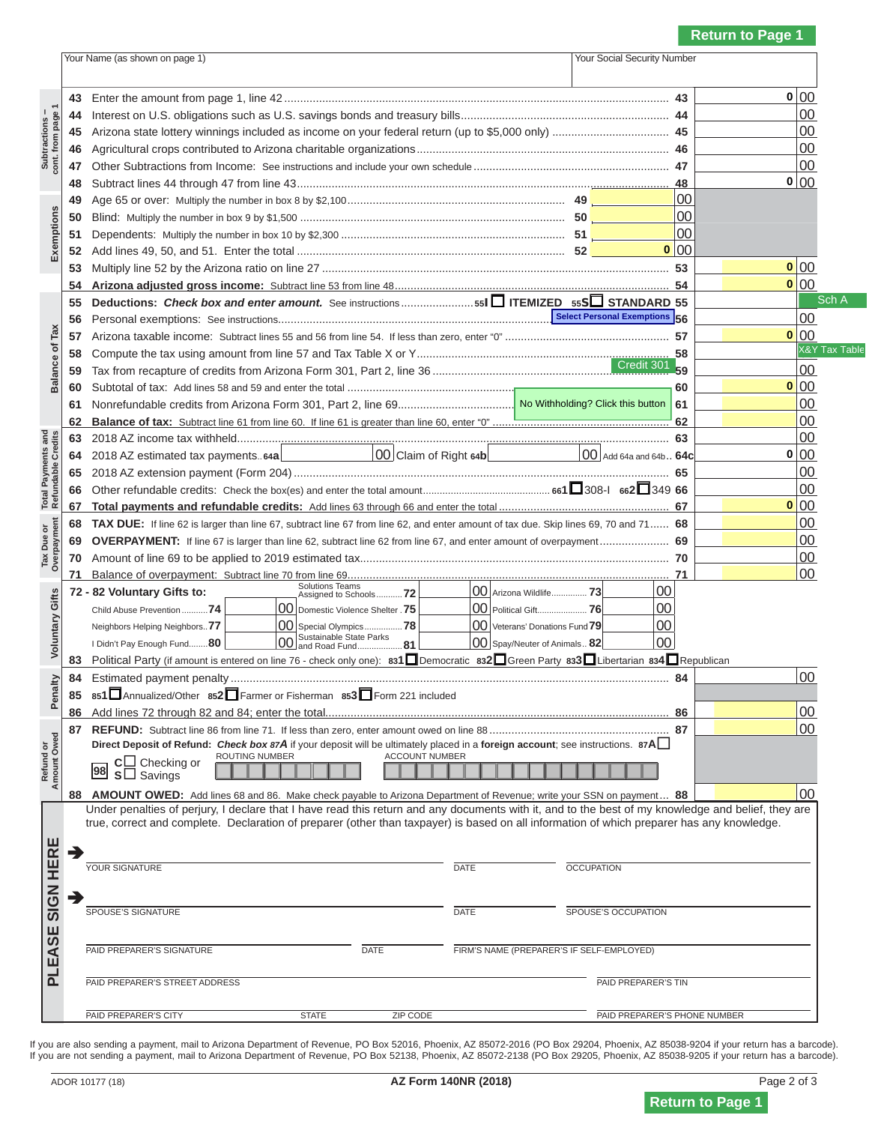## **N O T I C E**

 **43** Enter the amount from page 1, line 42 .......................................................................................................................... **43** 00  **44** Interest on U.S. obligations such as U.S. savings bonds and treasury bills .................................................................. **44** 00 If you are viewing this message,  $\blacksquare$  4 Abis is NOT a complete return **this is NOT a complete return.** 

 **50** Blind: Multiply the number in box 9 by \$1,500 .................................................................................... **50** 00  $\blacksquare$  The number is a completed return: **To print a completed return:** 

 **55 Deductions:** *Check box and enter amount.* See instructions ....................... **<sup>55</sup><sup>I</sup> ITEMIZED 55<sup>S</sup> STANDARD 55** 00 **Example 16** Personal Exemptions: September 2011 11: ............................  **57** Arizona taxable income: Subtract lines 55 and 56 from line 54. If less than zero, enter "0" .................................................... **57** 00 **Example 18** Computed Fields are indicated by a "Red Roy"  **59** Tax from recapture of credits from Arizona Form 301, Part 2, line 36 ........................................................................... **59** 00  $\mathbf{S}^{\text{normal}}$  and the dota field. around the data field).  **62 Balance of tax:** Subtract line 61 from line 60. If line 61 is greater than line 60, enter "0" ........................................................ **62** 00  $\mathbf{v}$  Table **(Required Fields are indicated by a "Red Box" All required fields must be filled in.** 

**Total Payments and Refunds**  $\mathsf{I} \mathsf{I} \mathsf{I} \mathsf{I} \mathsf{I} \mathsf{I} \mathsf{I} \mathsf{I} \mathsf{I} \mathsf{I} \mathsf{I} \mathsf{I} \mathsf{I} \mathsf{I} \mathsf{I} \mathsf{I} \mathsf{I} \mathsf{I} \mathsf{I} \mathsf{I} \mathsf{I} \mathsf{I} \mathsf{I} \mathsf{I} \mathsf{I} \mathsf{I} \mathsf{I} \mathsf{I} \mathsf{I} \mathsf{I} \mathsf{I} \mathsf{I} \mathsf{I} \mathsf{I} \mathsf{I} \mathsf{I} \mathsf{I$ Click on the Green PRINT Button located at the top  **67 Total payments and refundable credits:** Add lines 63 through 66 and enter the total ...................................................... **67** 00 **of page 1. of tax due. Skip line 67, and 71 subtract line 67, 89, 70**  $\sigma$  **69 OVERPAYMENT:** If line 67 is larger than line 62, subtract line 62 from line 67, and enter amount of overpayment ...................... **69** 00

 **Amount Owed Voluntary Gifts ATE: Clicking the DDINT hutten will n NOTE: Clicking the PRINT button will perform the** Neighbors Helping Neighbors..**77** 00 Special Olympics ................**78** 00 Veterans' Donations Fund **79** 00 I Didn't Pay Enough Fund........**<sup>80</sup>** 00 Sustainable State Parks and Road Fund ...................**81** 00 Spay/Neuter of Animals .. **82** 00 **calculations and <sup>83</sup>** Political Party (if amount is entered on line 76 - check only one): **831**Democratic **<sup>832</sup>**Green Party **<sup>833</sup>**Libertarian **<sup>834</sup>**Republican  **84** Estimated payment penalty ........................................................................................................................................... **84** 00 **8511 852 853 852 853 853 853 853 853 853 853 853 853 853 853 853 853 853 853 853 853 853 853 853 853 853 853 853 853 853 853 853 853 853 853 853 853** 

**N O T I C E**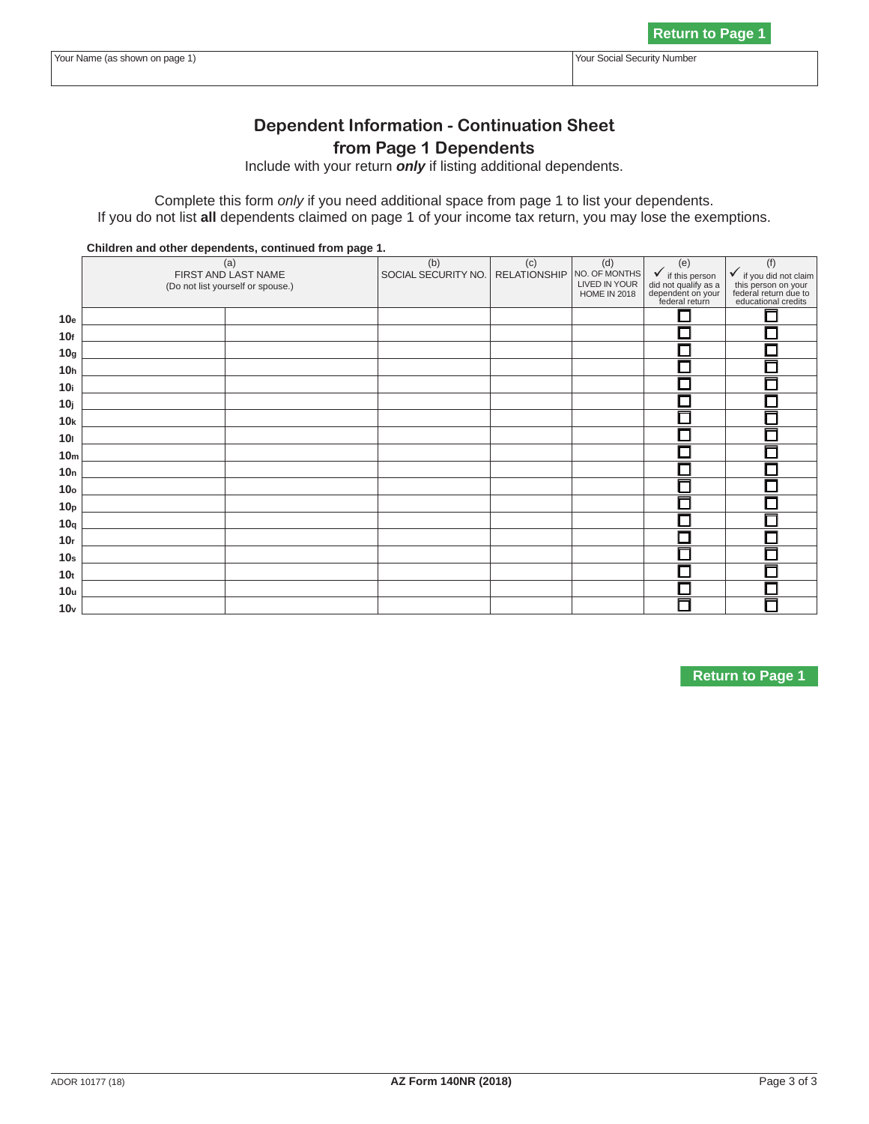# **N O T I C E**

**If you are viewing this message, INT** a comple **this is NOT a complete return.** 

If you do not list **all** dependents claimed on page 1 of your income tax return, you may lose the exemptions. **To print a completed return:** 

dependent on your federal return All required fields must be filled in. **10 All required fields must be filled in.** Raquired Fields are indicated by a "Red Bo" **10h (Required Fields are indicated by a "Red Box" 10.10 avenue de la definition de la propriet de la propriet de la propriet de la propriet de la propriet de la 1011 1011 around the data field). 1012 10k**

lick on the Crean DDINIT Rutton located at the **Click on the Green PRINT Button located at the top** 10p<sub>p</sub> **1** pp<sub>p</sub> **1** pp<sub>p</sub> **1 100quarts 10quarts 1. 10quarts 1. 20quarts 1. 10quarts 1. 10quarts 1. 10r 10r 10r 10r 10r 10r** 

**IOTE**, Cliebing the DDINIT button will norferm **NOTE: Clicking the PRINT button will perform the calculations and update the barcode.** 

**N O T I C E**